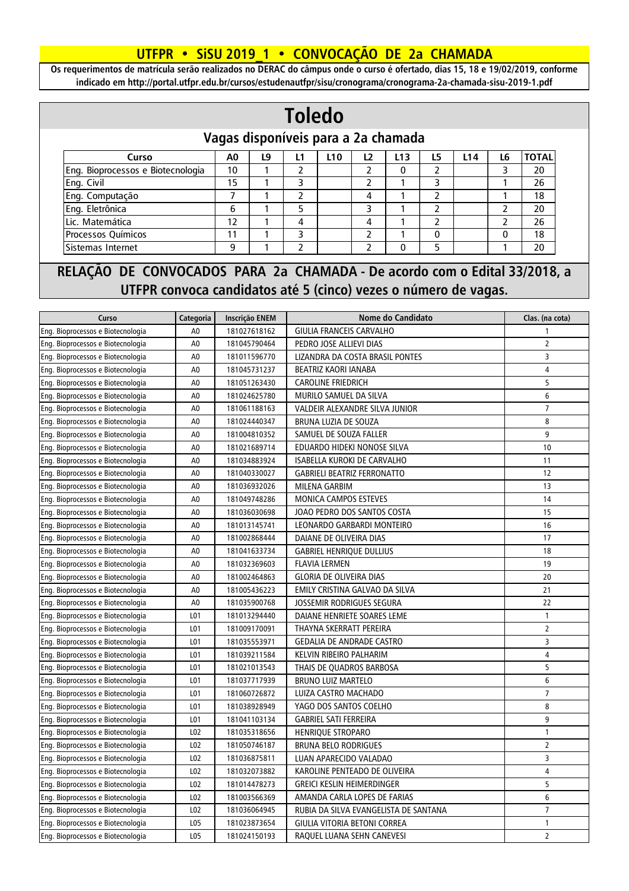## **UTFPR • SiSU 2019\_1 • CONVOCAÇÃO DE 2a CHAMADA**

**Os requerimentos de matrícula serão realizados no DERAC do câmpus onde o curso é ofertado, dias 15, 18 e 19/02/2019, conforme indicado em http://portal.utfpr.edu.br/cursos/estudenautfpr/sisu/cronograma/cronograma-2a-chamada-sisu-2019-1.pdf**

## **Toledo**

## **Vagas disponíveis para a 2a chamada**

| Curso                             | A0 | L9 | L10 | L2 | L <sub>13</sub> | L5 | L14 | L6 | <b>TOTAL</b> |
|-----------------------------------|----|----|-----|----|-----------------|----|-----|----|--------------|
| Eng. Bioprocessos e Biotecnologia | 10 |    |     |    |                 |    |     |    | 20           |
| Eng. Civil                        | 15 |    |     |    |                 |    |     |    | 26           |
| Eng. Computação                   |    |    |     |    |                 |    |     |    | 18           |
| Eng. Eletrônica                   | 6  |    |     |    |                 |    |     |    | 20           |
| Lic. Matemática                   | 12 |    |     |    |                 |    |     |    | 26           |
| Processos Químicos                | 11 |    |     |    |                 |    |     | O  | 18           |
| Sistemas Internet                 | 9  |    |     |    |                 |    |     |    | 20           |

## **RELAÇÃO DE CONVOCADOS PARA 2a CHAMADA - De acordo com o Edital 33/2018, a UTFPR convoca candidatos até 5 (cinco) vezes o número de vagas.**

| Curso                             | Categoria       | Inscrição ENEM | Nome do Candidato                     | Clas. (na cota) |
|-----------------------------------|-----------------|----------------|---------------------------------------|-----------------|
| Eng. Bioprocessos e Biotecnologia | A0              | 181027618162   | GIULIA FRANCEIS CARVALHO              | 1               |
| Eng. Bioprocessos e Biotecnologia | A <sub>0</sub>  | 181045790464   | PEDRO JOSE ALLIEVI DIAS               | $\overline{2}$  |
| Eng. Bioprocessos e Biotecnologia | A <sub>0</sub>  | 181011596770   | LIZANDRA DA COSTA BRASIL PONTES       | 3               |
| Eng. Bioprocessos e Biotecnologia | A <sub>0</sub>  | 181045731237   | BEATRIZ KAORI IANABA                  | $\overline{4}$  |
| Eng. Bioprocessos e Biotecnologia | A <sub>0</sub>  | 181051263430   | <b>CAROLINE FRIEDRICH</b>             | 5               |
| Eng. Bioprocessos e Biotecnologia | A <sub>0</sub>  | 181024625780   | MURILO SAMUEL DA SILVA                | 6               |
| Eng. Bioprocessos e Biotecnologia | A <sub>0</sub>  | 181061188163   | VALDEIR ALEXANDRE SILVA JUNIOR        | $\overline{7}$  |
| Eng. Bioprocessos e Biotecnologia | A <sub>0</sub>  | 181024440347   | BRUNA LUZIA DE SOUZA                  | 8               |
| Eng. Bioprocessos e Biotecnologia | A <sub>0</sub>  | 181004810352   | SAMUEL DE SOUZA FALLER                | 9               |
| Eng. Bioprocessos e Biotecnologia | A <sub>0</sub>  | 181021689714   | EDUARDO HIDEKI NONOSE SILVA           | 10              |
| Eng. Bioprocessos e Biotecnologia | A <sub>0</sub>  | 181034883924   | ISABELLA KUROKI DE CARVALHO           | 11              |
| Eng. Bioprocessos e Biotecnologia | A <sub>0</sub>  | 181040330027   | <b>GABRIELI BEATRIZ FERRONATTO</b>    | 12              |
| Eng. Bioprocessos e Biotecnologia | A0              | 181036932026   | MILENA GARBIM                         | 13              |
| Eng. Bioprocessos e Biotecnologia | A <sub>0</sub>  | 181049748286   | <b>MONICA CAMPOS ESTEVES</b>          | 14              |
| Eng. Bioprocessos e Biotecnologia | A <sub>0</sub>  | 181036030698   | JOAO PEDRO DOS SANTOS COSTA           | 15              |
| Eng. Bioprocessos e Biotecnologia | A <sub>0</sub>  | 181013145741   | LEONARDO GARBARDI MONTEIRO            | 16              |
| Eng. Bioprocessos e Biotecnologia | A <sub>0</sub>  | 181002868444   | DAIANE DE OLIVEIRA DIAS               | 17              |
| Eng. Bioprocessos e Biotecnologia | A <sub>0</sub>  | 181041633734   | <b>GABRIEL HENRIQUE DULLIUS</b>       | 18              |
| Eng. Bioprocessos e Biotecnologia | A <sub>0</sub>  | 181032369603   | <b>FLAVIA LERMEN</b>                  | 19              |
| Eng. Bioprocessos e Biotecnologia | A <sub>0</sub>  | 181002464863   | <b>GLORIA DE OLIVEIRA DIAS</b>        | 20              |
| Eng. Bioprocessos e Biotecnologia | A <sub>0</sub>  | 181005436223   | EMILY CRISTINA GALVAO DA SILVA        | 21              |
| Eng. Bioprocessos e Biotecnologia | A <sub>0</sub>  | 181035900768   | JOSSEMIR RODRIGUES SEGURA             | 22              |
| Eng. Bioprocessos e Biotecnologia | L <sub>01</sub> | 181013294440   | DAIANE HENRIETE SOARES LEME           | 1               |
| Eng. Bioprocessos e Biotecnologia | L01             | 181009170091   | THAYNA SKERRATT PEREIRA               | $\overline{2}$  |
| Eng. Bioprocessos e Biotecnologia | L01             | 181035553971   | <b>GEDALIA DE ANDRADE CASTRO</b>      | 3               |
| Eng. Bioprocessos e Biotecnologia | L01             | 181039211584   | KELVIN RIBEIRO PALHARIM               | 4               |
| Eng. Bioprocessos e Biotecnologia | L01             | 181021013543   | THAIS DE QUADROS BARBOSA              | 5               |
| Eng. Bioprocessos e Biotecnologia | L <sub>01</sub> | 181037717939   | <b>BRUNO LUIZ MARTELO</b>             | 6               |
| Eng. Bioprocessos e Biotecnologia | L <sub>01</sub> | 181060726872   | LUIZA CASTRO MACHADO                  | $\overline{7}$  |
| Eng. Bioprocessos e Biotecnologia | L01             | 181038928949   | YAGO DOS SANTOS COELHO                | 8               |
| Eng. Bioprocessos e Biotecnologia | L01             | 181041103134   | <b>GABRIEL SATI FERREIRA</b>          | 9               |
| Eng. Bioprocessos e Biotecnologia | L02             | 181035318656   | <b>HENRIQUE STROPARO</b>              | 1               |
| Eng. Bioprocessos e Biotecnologia | L02             | 181050746187   | <b>BRUNA BELO RODRIGUES</b>           | $\overline{2}$  |
| Eng. Bioprocessos e Biotecnologia | L02             | 181036875811   | LUAN APARECIDO VALADAO                | 3               |
| Eng. Bioprocessos e Biotecnologia | L02             | 181032073882   | KAROLINE PENTEADO DE OLIVEIRA         | 4               |
| Eng. Bioprocessos e Biotecnologia | L02             | 181014478273   | <b>GREICI KESLIN HEIMERDINGER</b>     | 5               |
| Eng. Bioprocessos e Biotecnologia | L02             | 181003566369   | AMANDA CARLA LOPES DE FARIAS          | 6               |
| Eng. Bioprocessos e Biotecnologia | L02             | 181036064945   | RUBIA DA SILVA EVANGELISTA DE SANTANA | $\overline{7}$  |
| Eng. Bioprocessos e Biotecnologia | L05             | 181023873654   | GIULIA VITORIA BETONI CORREA          | 1               |
| Eng. Bioprocessos e Biotecnologia | L05             | 181024150193   | RAQUEL LUANA SEHN CANEVESI            | $\overline{2}$  |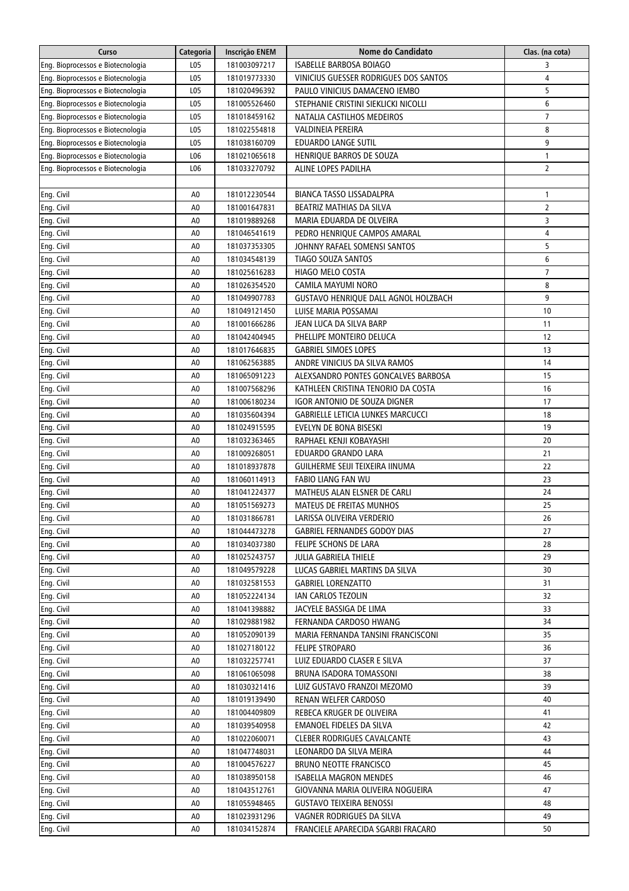| Curso                             | Categoria      | Inscrição ENEM | Nome do Candidato                        | Clas. (na cota) |
|-----------------------------------|----------------|----------------|------------------------------------------|-----------------|
| Eng. Bioprocessos e Biotecnologia | L05            | 181003097217   | ISABELLE BARBOSA BOIAGO                  | 3               |
| Eng. Bioprocessos e Biotecnologia | L05            | 181019773330   | VINICIUS GUESSER RODRIGUES DOS SANTOS    | 4               |
| Eng. Bioprocessos e Biotecnologia | L05            | 181020496392   | PAULO VINICIUS DAMACENO IEMBO            | 5               |
| Eng. Bioprocessos e Biotecnologia | L05            | 181005526460   | STEPHANIE CRISTINI SIEKLICKI NICOLLI     | 6               |
| Eng. Bioprocessos e Biotecnologia | L05            | 181018459162   | NATALIA CASTILHOS MEDEIROS               | $\overline{7}$  |
| Eng. Bioprocessos e Biotecnologia | L05            | 181022554818   | VALDINEIA PEREIRA                        | 8               |
| Eng. Bioprocessos e Biotecnologia | L05            | 181038160709   | EDUARDO LANGE SUTIL                      | 9               |
| Eng. Bioprocessos e Biotecnologia | L06            | 181021065618   | HENRIQUE BARROS DE SOUZA                 | 1               |
| Eng. Bioprocessos e Biotecnologia | L06            | 181033270792   | ALINE LOPES PADILHA                      | $\overline{2}$  |
|                                   |                |                |                                          |                 |
| Eng. Civil                        | A0             | 181012230544   | BIANCA TASSO LISSADALPRA                 | 1               |
| Eng. Civil                        | A0             | 181001647831   | BEATRIZ MATHIAS DA SILVA                 | $\overline{2}$  |
| Eng. Civil                        | A0             | 181019889268   | MARIA EDUARDA DE OLVEIRA                 | 3               |
| Eng. Civil                        | A0             | 181046541619   | PEDRO HENRIQUE CAMPOS AMARAL             | 4               |
| Eng. Civil                        | A0             | 181037353305   | JOHNNY RAFAEL SOMENSI SANTOS             | 5               |
| Eng. Civil                        | A0             | 181034548139   | TIAGO SOUZA SANTOS                       | 6               |
| Eng. Civil                        | A <sub>0</sub> | 181025616283   | HIAGO MELO COSTA                         | $\overline{7}$  |
| Eng. Civil                        | A <sub>0</sub> | 181026354520   | CAMILA MAYUMI NORO                       | 8               |
|                                   |                | 181049907783   |                                          | 9               |
| Eng. Civil                        | A0             |                | GUSTAVO HENRIQUE DALL AGNOL HOLZBACH     |                 |
| Eng. Civil                        | A <sub>0</sub> | 181049121450   | LUISE MARIA POSSAMAI                     | 10              |
| Eng. Civil                        | A <sub>0</sub> | 181001666286   | JEAN LUCA DA SILVA BARP                  | 11              |
| Eng. Civil                        | A <sub>0</sub> | 181042404945   | PHELLIPE MONTEIRO DELUCA                 | 12              |
| Eng. Civil                        | A0             | 181017646835   | <b>GABRIEL SIMOES LOPES</b>              | 13              |
| Eng. Civil                        | A <sub>0</sub> | 181062563885   | ANDRE VINICIUS DA SILVA RAMOS            | 14              |
| Eng. Civil                        | A <sub>0</sub> | 181065091223   | ALEXSANDRO PONTES GONCALVES BARBOSA      | 15              |
| Eng. Civil                        | A <sub>0</sub> | 181007568296   | KATHLEEN CRISTINA TENORIO DA COSTA       | 16              |
| Eng. Civil                        | A <sub>0</sub> | 181006180234   | IGOR ANTONIO DE SOUZA DIGNER             | 17              |
| Eng. Civil                        | A <sub>0</sub> | 181035604394   | <b>GABRIELLE LETICIA LUNKES MARCUCCI</b> | 18              |
| Eng. Civil                        | A0             | 181024915595   | EVELYN DE BONA BISESKI                   | 19              |
| Eng. Civil                        | A <sub>0</sub> | 181032363465   | RAPHAEL KENJI KOBAYASHI                  | 20              |
| Eng. Civil                        | A0             | 181009268051   | EDUARDO GRANDO LARA                      | 21              |
| Eng. Civil                        | A0             | 181018937878   | GUILHERME SEIJI TEIXEIRA IINUMA          | 22              |
| Eng. Civil                        | A0             | 181060114913   | FABIO LIANG FAN WU                       | 23              |
| Eng. Civil                        | A0             | 181041224377   | MATHEUS ALAN ELSNER DE CARLI             | 24              |
| Eng. Civil                        | A0             | 181051569273   | <b>MATEUS DE FREITAS MUNHOS</b>          | 25              |
| Eng. Civil                        | A <sub>0</sub> | 181031866781   | LARISSA OLIVEIRA VERDERIO                | 26              |
| Eng. Civil                        | A0             | 181044473278   | <b>GABRIEL FERNANDES GODOY DIAS</b>      | 27              |
| Eng. Civil                        | A0             | 181034037380   | FELIPE SCHONS DE LARA                    | 28              |
| Eng. Civil                        | A0             | 181025243757   | JULIA GABRIELA THIELE                    | 29              |
| Eng. Civil                        | A0             | 181049579228   | LUCAS GABRIEL MARTINS DA SILVA           | 30              |
| Eng. Civil                        | A0             | 181032581553   | <b>GABRIEL LORENZATTO</b>                | 31              |
| Eng. Civil                        | A0             | 181052224134   | IAN CARLOS TEZOLIN                       | 32              |
| Eng. Civil                        | A0             | 181041398882   | JACYELE BASSIGA DE LIMA                  | 33              |
| Eng. Civil                        | A0             | 181029881982   | FERNANDA CARDOSO HWANG                   | 34              |
| Eng. Civil                        | A0             | 181052090139   | MARIA FERNANDA TANSINI FRANCISCONI       | 35              |
| Eng. Civil                        | A0             | 181027180122   | <b>FELIPE STROPARO</b>                   | 36              |
| Eng. Civil                        | A0             | 181032257741   | LUIZ EDUARDO CLASER E SILVA              | 37              |
| Eng. Civil                        | A0             | 181061065098   | BRUNA ISADORA TOMASSONI                  | 38              |
| Eng. Civil                        | A0             | 181030321416   | LUIZ GUSTAVO FRANZOI MEZOMO              | 39              |
| Eng. Civil                        | A0             | 181019139490   | RENAN WELFER CARDOSO                     | 40              |
| Eng. Civil                        | A0             | 181004409809   | REBECA KRUGER DE OLIVEIRA                | 41              |
| Eng. Civil                        | A0             | 181039540958   | EMANOEL FIDELES DA SILVA                 | 42              |
| Eng. Civil                        | A0             | 181022060071   | <b>CLEBER RODRIGUES CAVALCANTE</b>       | 43              |
| Eng. Civil                        | A0             | 181047748031   | LEONARDO DA SILVA MEIRA                  | 44              |
| Eng. Civil                        | A0             | 181004576227   | <b>BRUNO NEOTTE FRANCISCO</b>            | 45              |
| Eng. Civil                        | A0             | 181038950158   | <b>ISABELLA MAGRON MENDES</b>            | 46              |
| Eng. Civil                        | A0             | 181043512761   | GIOVANNA MARIA OLIVEIRA NOGUEIRA         | 47              |
| Eng. Civil                        | A0             | 181055948465   | <b>GUSTAVO TEIXEIRA BENOSSI</b>          | 48              |
| Eng. Civil                        | A0             | 181023931296   | VAGNER RODRIGUES DA SILVA                | 49              |
| Eng. Civil                        | A0             | 181034152874   | FRANCIELE APARECIDA SGARBI FRACARO       | 50              |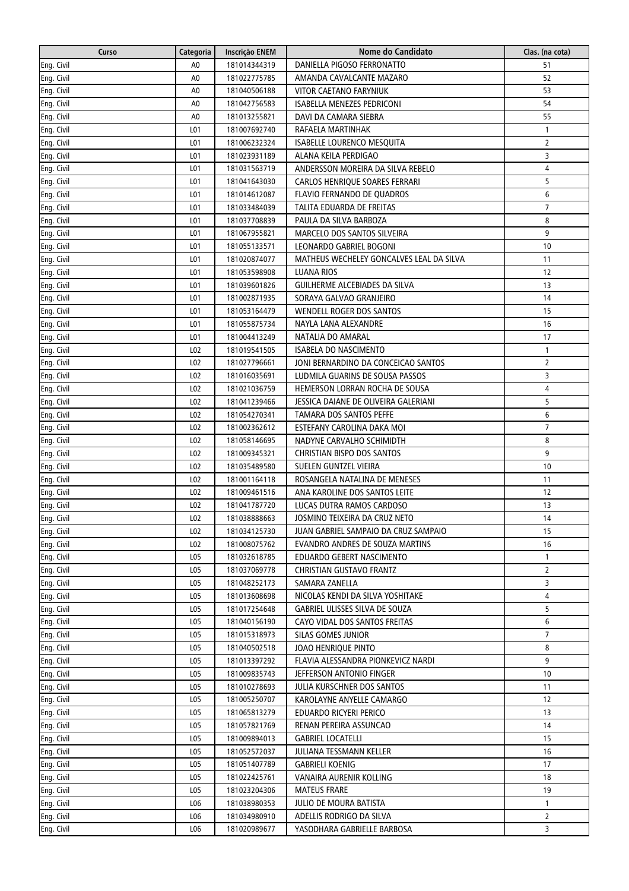| Curso      | Categoria       | Inscrição ENEM | Nome do Candidato                        | Clas. (na cota) |
|------------|-----------------|----------------|------------------------------------------|-----------------|
| Eng. Civil | A0              | 181014344319   | DANIELLA PIGOSO FERRONATTO               | 51              |
| Eng. Civil | A0              | 181022775785   | AMANDA CAVALCANTE MAZARO                 | 52              |
| Eng. Civil | A0              | 181040506188   | VITOR CAETANO FARYNIUK                   | 53              |
| Eng. Civil | A0              | 181042756583   | ISABELLA MENEZES PEDRICONI               | 54              |
| Eng. Civil | A0              | 181013255821   | DAVI DA CAMARA SIEBRA                    | 55              |
| Eng. Civil | L01             | 181007692740   | RAFAELA MARTINHAK                        | 1               |
| Eng. Civil | L01             | 181006232324   | <b>ISABELLE LOURENCO MESQUITA</b>        | $\overline{2}$  |
| Eng. Civil | L01             | 181023931189   | ALANA KEILA PERDIGAO                     | 3               |
| Eng. Civil | L01             | 181031563719   | ANDERSSON MOREIRA DA SILVA REBELO        | 4               |
| Eng. Civil | L01             | 181041643030   | CARLOS HENRIQUE SOARES FERRARI           | 5               |
| Eng. Civil | L01             | 181014612087   | FLAVIO FERNANDO DE QUADROS               | 6               |
| Eng. Civil | L01             | 181033484039   | TALITA EDUARDA DE FREITAS                | 7               |
| Eng. Civil | L01             | 181037708839   | PAULA DA SILVA BARBOZA                   | 8               |
| Eng. Civil | L01             | 181067955821   | MARCELO DOS SANTOS SILVEIRA              | 9               |
| Eng. Civil | L01             | 181055133571   | LEONARDO GABRIEL BOGONI                  | 10              |
| Eng. Civil | L01             | 181020874077   | MATHEUS WECHELEY GONCALVES LEAL DA SILVA | 11              |
| Eng. Civil | LO1             | 181053598908   | LUANA RIOS                               | 12              |
| Eng. Civil | L01             | 181039601826   | GUILHERME ALCEBIADES DA SILVA            | 13              |
| Eng. Civil | L01             | 181002871935   | SORAYA GALVAO GRANJEIRO                  | 14              |
| Eng. Civil | L01             | 181053164479   | <b>WENDELL ROGER DOS SANTOS</b>          | 15              |
| Eng. Civil | L01             | 181055875734   | NAYLA LANA ALEXANDRE                     | 16              |
| Eng. Civil | L01             | 181004413249   | NATALIA DO AMARAL                        | 17              |
| Eng. Civil | LO <sub>2</sub> | 181019541505   | <b>ISABELA DO NASCIMENTO</b>             | 1               |
| Eng. Civil | LO <sub>2</sub> | 181027796661   | JONI BERNARDINO DA CONCEICAO SANTOS      | $\overline{2}$  |
| Eng. Civil | LO <sub>2</sub> | 181016035691   | LUDMILA GUARINS DE SOUSA PASSOS          | 3               |
| Eng. Civil | L02             | 181021036759   | HEMERSON LORRAN ROCHA DE SOUSA           | 4               |
| Eng. Civil | LO <sub>2</sub> | 181041239466   | JESSICA DAIANE DE OLIVEIRA GALERIANI     | 5               |
| Eng. Civil | L02             | 181054270341   | TAMARA DOS SANTOS PEFFE                  | 6               |
| Eng. Civil | LO <sub>2</sub> | 181002362612   | ESTEFANY CAROLINA DAKA MOI               | $\overline{7}$  |
| Eng. Civil | LO <sub>2</sub> | 181058146695   | NADYNE CARVALHO SCHIMIDTH                | 8               |
| Eng. Civil | LO <sub>2</sub> | 181009345321   | CHRISTIAN BISPO DOS SANTOS               | 9               |
| Eng. Civil | LO <sub>2</sub> | 181035489580   | SUELEN GUNTZEL VIEIRA                    | 10              |
| Eng. Civil | LO <sub>2</sub> | 181001164118   | ROSANGELA NATALINA DE MENESES            | 11              |
| Eng. Civil | L02             | 181009461516   | ANA KAROLINE DOS SANTOS LEITE            | 12              |
| Eng. Civil | L02             | 181041787720   | LUCAS DUTRA RAMOS CARDOSO                | 13              |
| Eng. Civil | L02             | 181038888663   | JOSMINO TEIXEIRA DA CRUZ NETO            | 14              |
| Eng. Civil | LO <sub>2</sub> | 181034125730   | JUAN GABRIEL SAMPAIO DA CRUZ SAMPAIO     | 15              |
| Eng. Civil | L02             | 181008075762   | EVANDRO ANDRES DE SOUZA MARTINS          | 16              |
| Eng. Civil | LO5             | 181032618785   | EDUARDO GEBERT NASCIMENTO                | $\mathbf{1}$    |
| Eng. Civil | LO5             | 181037069778   | CHRISTIAN GUSTAVO FRANTZ                 | $\overline{2}$  |
| Eng. Civil | LO5             | 181048252173   | SAMARA ZANELLA                           | 3               |
| Eng. Civil | LO5             | 181013608698   | NICOLAS KENDI DA SILVA YOSHITAKE         | 4               |
| Eng. Civil | LO5             | 181017254648   | GABRIEL ULISSES SILVA DE SOUZA           | 5               |
| Eng. Civil | LO5             | 181040156190   | CAYO VIDAL DOS SANTOS FREITAS            | 6               |
| Eng. Civil | LO5             | 181015318973   | SILAS GOMES JUNIOR                       | $\overline{7}$  |
| Eng. Civil | LO5             | 181040502518   | JOAO HENRIQUE PINTO                      | 8               |
| Eng. Civil | LO5             | 181013397292   | FLAVIA ALESSANDRA PIONKEVICZ NARDI       | 9               |
| Eng. Civil | LO5             | 181009835743   | JEFFERSON ANTONIO FINGER                 | 10              |
| Eng. Civil | LO5             | 181010278693   | JULIA KURSCHNER DOS SANTOS               | 11              |
| Eng. Civil | LO5             | 181005250707   | KAROLAYNE ANYELLE CAMARGO                | 12              |
| Eng. Civil | LO5             | 181065813279   | EDUARDO RICYERI PERICO                   | 13              |
| Eng. Civil | LO5             | 181057821769   | RENAN PEREIRA ASSUNCAO                   | 14              |
| Eng. Civil | LO5             | 181009894013   | <b>GABRIEL LOCATELLI</b>                 | 15              |
| Eng. Civil | LO5             | 181052572037   | JULIANA TESSMANN KELLER                  | 16              |
| Eng. Civil | LO5             | 181051407789   | <b>GABRIELI KOENIG</b>                   | 17              |
| Eng. Civil | LO5             | 181022425761   | VANAIRA AURENIR KOLLING                  | 18              |
| Eng. Civil | LO5             | 181023204306   | <b>MATEUS FRARE</b>                      | 19              |
| Eng. Civil | LO6             | 181038980353   | JULIO DE MOURA BATISTA                   | $\mathbf{1}$    |
| Eng. Civil | LO6             | 181034980910   | ADELLIS RODRIGO DA SILVA                 | $\overline{2}$  |
| Eng. Civil | LO6             | 181020989677   | YASODHARA GABRIELLE BARBOSA              | 3               |
|            |                 |                |                                          |                 |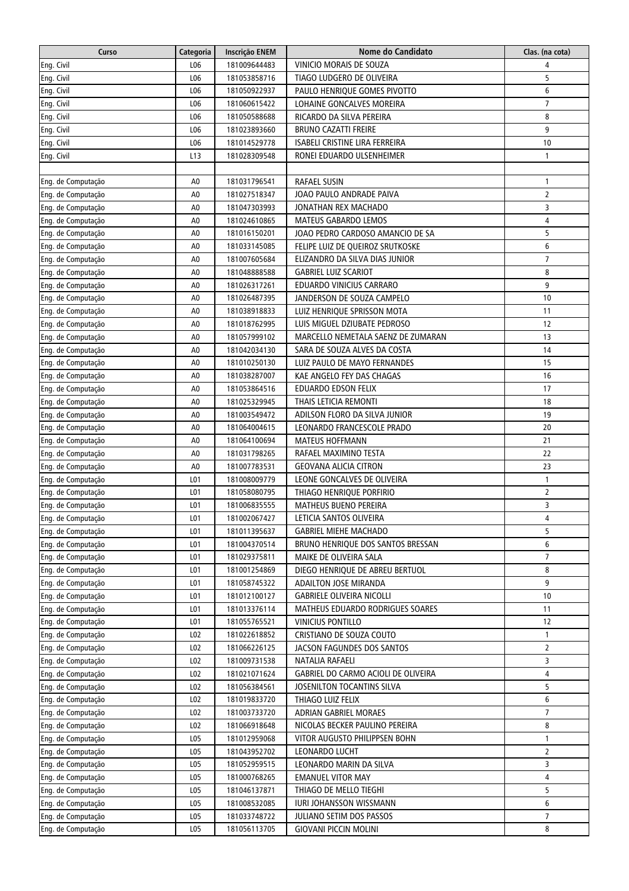| Curso              | Categoria        | Inscrição ENEM | Nome do Candidato                   | Clas. (na cota) |
|--------------------|------------------|----------------|-------------------------------------|-----------------|
| Eng. Civil         | LO6              | 181009644483   | VINICIO MORAIS DE SOUZA             | 4               |
| Eng. Civil         | L06              | 181053858716   | TIAGO LUDGERO DE OLIVEIRA           | 5               |
| Eng. Civil         | L06              | 181050922937   | PAULO HENRIQUE GOMES PIVOTTO        | 6               |
| Eng. Civil         | LO6              | 181060615422   | <b>LOHAINE GONCALVES MOREIRA</b>    | $\overline{7}$  |
| Eng. Civil         | LO6              | 181050588688   | RICARDO DA SILVA PEREIRA            | 8               |
| Eng. Civil         | LO6              | 181023893660   | <b>BRUNO CAZATTI FREIRE</b>         | 9               |
| Eng. Civil         | LO6              | 181014529778   | ISABELI CRISTINE LIRA FERREIRA      | 10              |
| Eng. Civil         | L13              | 181028309548   | RONEI EDUARDO ULSENHEIMER           | 1               |
|                    |                  |                |                                     |                 |
| Eng. de Computação | A0               | 181031796541   | RAFAEL SUSIN                        | 1               |
| Eng. de Computação | A0               | 181027518347   | JOAO PAULO ANDRADE PAIVA            | $\overline{2}$  |
| Eng. de Computação | A0               | 181047303993   | JONATHAN REX MACHADO                | 3               |
| Eng. de Computação | A0               | 181024610865   | <b>MATEUS GABARDO LEMOS</b>         | 4               |
| Eng. de Computação | A0               | 181016150201   | JOAO PEDRO CARDOSO AMANCIO DE SA    | 5               |
| Eng. de Computação | A0               | 181033145085   | FELIPE LUIZ DE QUEIROZ SRUTKOSKE    | 6               |
| Eng. de Computação | A0               | 181007605684   | ELIZANDRO DA SILVA DIAS JUNIOR      | 7               |
| Eng. de Computação | A0               | 181048888588   | <b>GABRIEL LUIZ SCARIOT</b>         | 8               |
| Eng. de Computação | A0               | 181026317261   | EDUARDO VINICIUS CARRARO            | 9               |
| Eng. de Computação | A0               | 181026487395   | JANDERSON DE SOUZA CAMPELO          | 10              |
| Eng. de Computação | A0               | 181038918833   | LUIZ HENRIQUE SPRISSON MOTA         | 11              |
| Eng. de Computação | A0               | 181018762995   | LUIS MIGUEL DZIUBATE PEDROSO        | 12              |
| Eng. de Computação | A <sub>0</sub>   | 181057999102   | MARCELLO NEMETALA SAENZ DE ZUMARAN  | 13              |
| Eng. de Computação | A0               | 181042034130   | SARA DE SOUZA ALVES DA COSTA        | 14              |
| Eng. de Computação | A0               | 181010250130   | LUIZ PAULO DE MAYO FERNANDES        | 15              |
| Eng. de Computação | A0               | 181038287007   | KAE ANGELO FEY DAS CHAGAS           | 16              |
| Eng. de Computação | A0               | 181053864516   | <b>EDUARDO EDSON FELIX</b>          | 17              |
| Eng. de Computação | A0               | 181025329945   | THAIS LETICIA REMONTI               | 18              |
| Eng. de Computação | A <sub>0</sub>   | 181003549472   | ADILSON FLORO DA SILVA JUNIOR       | 19              |
| Eng. de Computação | A0               | 181064004615   | LEONARDO FRANCESCOLE PRADO          | 20              |
| Eng. de Computação | A0               | 181064100694   | <b>MATEUS HOFFMANN</b>              | 21              |
| Eng. de Computação | A0               | 181031798265   | RAFAEL MAXIMINO TESTA               | 22              |
| Eng. de Computação | A0               | 181007783531   | <b>GEOVANA ALICIA CITRON</b>        | 23              |
| Eng. de Computação | L01              | 181008009779   | LEONE GONCALVES DE OLIVEIRA         | 1               |
| Eng. de Computação | L01              | 181058080795   | THIAGO HENRIQUE PORFIRIO            | $\overline{2}$  |
| Eng. de Computação | L01              | 181006835555   | <b>MATHEUS BUENO PEREIRA</b>        | 3               |
| Eng. de Computação | L01              | 181002067427   | LETICIA SANTOS OLIVEIRA             | 4               |
| Eng. de Computação | L01              | 181011395637   | <b>GABRIEL MIEHE MACHADO</b>        | 5               |
| Eng. de Computação | L01              | 181004370514   | BRUNO HENRIQUE DOS SANTOS BRESSAN   | 6               |
| Eng. de Computação | L01              | 181029375811   | MAIKE DE OLIVEIRA SALA              | 7               |
| Eng. de Computação | L <sub>0</sub> 1 | 181001254869   | DIEGO HENRIQUE DE ABREU BERTUOL     | 8               |
| Eng. de Computação | L <sub>0</sub> 1 | 181058745322   | ADAILTON JOSE MIRANDA               | 9               |
| Eng. de Computação | L <sub>0</sub> 1 | 181012100127   | <b>GABRIELE OLIVEIRA NICOLLI</b>    | 10              |
| Eng. de Computação | L <sub>0</sub> 1 | 181013376114   | MATHEUS EDUARDO RODRIGUES SOARES    | 11              |
| Eng. de Computação | L <sub>0</sub> 1 | 181055765521   | <b>VINICIUS PONTILLO</b>            | 12              |
| Eng. de Computação | LO <sub>2</sub>  | 181022618852   | CRISTIANO DE SOUZA COUTO            | $\mathbf{1}$    |
| Eng. de Computação | LO <sub>2</sub>  | 181066226125   | JACSON FAGUNDES DOS SANTOS          | $\overline{2}$  |
| Eng. de Computação | LO <sub>2</sub>  | 181009731538   | NATALIA RAFAELI                     | 3               |
| Eng. de Computação | LO <sub>2</sub>  | 181021071624   | GABRIEL DO CARMO ACIOLI DE OLIVEIRA | 4               |
| Eng. de Computação | L02              | 181056384561   | JOSENILTON TOCANTINS SILVA          | 5               |
| Eng. de Computação | LO <sub>2</sub>  | 181019833720   | THIAGO LUIZ FELIX                   | 6               |
| Eng. de Computação | LO <sub>2</sub>  | 181003733720   | ADRIAN GABRIEL MORAES               | $\overline{7}$  |
| Eng. de Computação | LO <sub>2</sub>  | 181066918648   | NICOLAS BECKER PAULINO PEREIRA      | 8               |
| Eng. de Computação | LO5              | 181012959068   | VITOR AUGUSTO PHILIPPSEN BOHN       | 1               |
| Eng. de Computação | LO5              | 181043952702   | LEONARDO LUCHT                      | $\overline{2}$  |
| Eng. de Computação | LO5              | 181052959515   | LEONARDO MARIN DA SILVA             | 3               |
| Eng. de Computação | LO5              | 181000768265   | <b>EMANUEL VITOR MAY</b>            | 4               |
| Eng. de Computação | LO5              | 181046137871   | THIAGO DE MELLO TIEGHI              | 5               |
| Eng. de Computação | LO5              | 181008532085   | IURI JOHANSSON WISSMANN             | 6               |
| Eng. de Computação | LO5              | 181033748722   | JULIANO SETIM DOS PASSOS            | 7               |
| Eng. de Computação | LO5              | 181056113705   | <b>GIOVANI PICCIN MOLINI</b>        | 8               |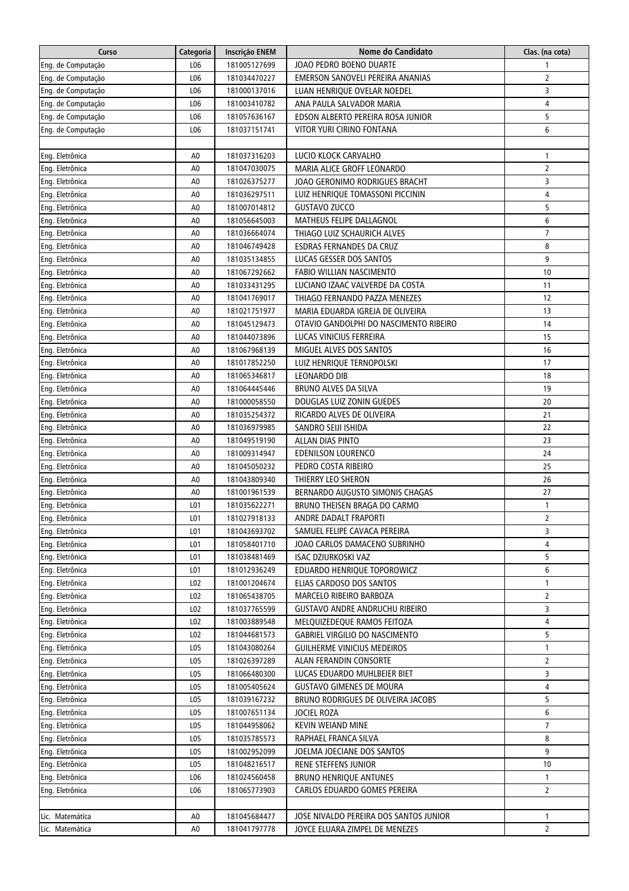| Curso              | Categoria       | Inscrição ENEM | Nome do Candidato                       | Clas. (na cota) |
|--------------------|-----------------|----------------|-----------------------------------------|-----------------|
| Eng. de Computação | LO6             | 181005127699   | JOAO PEDRO BOENO DUARTE                 | $\mathbf{1}$    |
| Eng. de Computação | L06             | 181034470227   | <b>EMERSON SANOVELI PEREIRA ANANIAS</b> | $\overline{2}$  |
| Eng. de Computação | L06             | 181000137016   | LUAN HENRIQUE OVELAR NOEDEL             | 3               |
| Eng. de Computação | LO6             | 181003410782   | ANA PAULA SALVADOR MARIA                | 4               |
| Eng. de Computação | LO6             | 181057636167   | EDSON ALBERTO PEREIRA ROSA JUNIOR       | 5               |
| Eng. de Computação | LO6             | 181037151741   | VITOR YURI CIRINO FONTANA               | 6               |
|                    |                 |                |                                         |                 |
| Eng. Eletrônica    | A0              | 181037316203   | LUCIO KLOCK CARVALHO                    | 1               |
| Eng. Eletrônica    | A0              | 181047030075   | MARIA ALICE GROFF LEONARDO              | $\overline{2}$  |
| Eng. Eletrônica    | A0              | 181026375277   | JOAO GERONIMO RODRIGUES BRACHT          | 3               |
| Eng. Eletrônica    | A0              | 181036297511   | LUIZ HENRIQUE TOMASSONI PICCININ        | 4               |
| Eng. Eletrônica    | A0              | 181007014812   | <b>GUSTAVO ZUCCO</b>                    | 5               |
| Eng. Eletrônica    | A0              | 181056645003   | MATHEUS FELIPE DALLAGNOL                | 6               |
| Eng. Eletrônica    | A0              | 181036664074   | THIAGO LUIZ SCHAURICH ALVES             | $\overline{7}$  |
| Eng. Eletrônica    | A0              | 181046749428   | ESDRAS FERNANDES DA CRUZ                | 8               |
| Eng. Eletrônica    | A0              | 181035134855   | LUCAS GESSER DOS SANTOS                 | 9               |
| Eng. Eletrônica    | A0              | 181067292662   | FABIO WILLIAN NASCIMENTO                | 10              |
| Eng. Eletrônica    | A0              | 181033431295   | LUCIANO IZAAC VALVERDE DA COSTA         | 11              |
| Eng. Eletrônica    | A0              | 181041769017   | THIAGO FERNANDO PAZZA MENEZES           | 12              |
| Eng. Eletrônica    | A0              | 181021751977   | MARIA EDUARDA IGREJA DE OLIVEIRA        | 13              |
| Eng. Eletrônica    | A0              | 181045129473   | OTAVIO GANDOLPHI DO NASCIMENTO RIBEIRO  | 14              |
| Eng. Eletrônica    | A <sub>0</sub>  | 181044073896   | LUCAS VINICIUS FERREIRA                 | 15              |
| Eng. Eletrônica    | A0              | 181067968139   | MIGUEL ALVES DOS SANTOS                 | 16              |
| Eng. Eletrônica    | A <sub>0</sub>  | 181017852250   | LUIZ HENRIQUE TERNOPOLSKI               | 17              |
| Eng. Eletrônica    | A0              | 181065346817   | LEONARDO DIB                            | 18              |
| Eng. Eletrônica    | A <sub>0</sub>  | 181064445446   | <b>BRUNO ALVES DA SILVA</b>             | 19              |
| Eng. Eletrônica    | A0              | 181000058550   | DOUGLAS LUIZ ZONIN GUEDES               | 20              |
| Eng. Eletrônica    | A <sub>0</sub>  | 181035254372   | RICARDO ALVES DE OLIVEIRA               | 21              |
| Eng. Eletrônica    | A0              | 181036979985   | SANDRO SEIJI ISHIDA                     | 22              |
| Eng. Eletrônica    | A0              | 181049519190   | ALLAN DIAS PINTO                        | 23              |
| Eng. Eletrônica    | A0              | 181009314947   | EDENILSON LOURENCO                      | 24              |
| Eng. Eletrônica    | A0              | 181045050232   | PEDRO COSTA RIBEIRO                     | 25              |
| Eng. Eletrônica    | A0              | 181043809340   | THIERRY LEO SHERON                      | 26              |
| Eng. Eletrônica    | A0              | 181001961539   | BERNARDO AUGUSTO SIMONIS CHAGAS         | 27              |
| Eng. Eletrônica    | L01             | 181035622271   | BRUNO THEISEN BRAGA DO CARMO            | 1               |
| Eng. Eletrônica    | L01             | 181027918133   | ANDRE DADALT FRAPORTI                   | $\overline{2}$  |
| Eng. Eletrônica    | L01             | 181043693702   | SAMUEL FELIPE CAVACA PEREIRA            | 3               |
| Eng. Eletrônica    | L01             | 181058401710   | JOAO CARLOS DAMACENO SUBRINHO           | 4               |
| Eng. Eletrônica    | L01             | 181038481469   | <b>ISAC DZIURKOSKI VAZ</b>              | 5               |
| Eng. Eletrônica    | L01             | 181012936249   | EDUARDO HENRIQUE TOPOROWICZ             | 6               |
| Eng. Eletrônica    | LO <sub>2</sub> | 181001204674   | ELIAS CARDOSO DOS SANTOS                | 1               |
| Eng. Eletrônica    | LO <sub>2</sub> | 181065438705   | MARCELO RIBEIRO BARBOZA                 | 2               |
| Eng. Eletrônica    | LO <sub>2</sub> | 181037765599   | <b>GUSTAVO ANDRE ANDRUCHU RIBEIRO</b>   | 3               |
| Eng. Eletrônica    | LO <sub>2</sub> | 181003889548   | MELQUIZEDEQUE RAMOS FEITOZA             | 4               |
| Eng. Eletrônica    | LO2             | 181044681573   | <b>GABRIEL VIRGILIO DO NASCIMENTO</b>   | 5               |
| Eng. Eletrônica    | LO5             | 181043080264   | <b>GUILHERME VINICIUS MEDEIROS</b>      | 1               |
| Eng. Eletrônica    | LO5             | 181026397289   | ALAN FERANDIN CONSORTE                  | $\overline{2}$  |
| Eng. Eletrônica    | LO5             | 181066480300   | LUCAS EDUARDO MUHLBEIER BIET            | 3               |
| Eng. Eletrônica    | LO5             | 181005405624   | <b>GUSTAVO GIMENES DE MOURA</b>         | 4               |
| Eng. Eletrônica    | LO5             | 181039167232   | BRUNO RODRIGUES DE OLIVEIRA JACOBS      | 5               |
| Eng. Eletrônica    | LO5             | 181007651134   | <b>JOCIEL ROZA</b>                      | 6               |
| Eng. Eletrônica    | LO5             | 181044958062   | <b>KEVIN WEIAND MINE</b>                | $\overline{7}$  |
| Eng. Eletrônica    | LO5             | 181035785573   | RAPHAEL FRANCA SILVA                    | 8               |
| Eng. Eletrônica    | LO5             | 181002952099   | JOELMA JOECIANE DOS SANTOS              | 9               |
| Eng. Eletrônica    | LO5             | 181048216517   | <b>RENE STEFFENS JUNIOR</b>             | 10              |
| Eng. Eletrônica    | LO6             | 181024560458   | <b>BRUNO HENRIQUE ANTUNES</b>           | 1               |
| Eng. Eletrônica    | LO6             | 181065773903   | CARLOS EDUARDO GOMES PEREIRA            | $\overline{2}$  |
|                    |                 |                |                                         |                 |
| Lic. Matemática    | A0              | 181045684477   | JOSE NIVALDO PEREIRA DOS SANTOS JUNIOR  | 1               |
| Lic. Matemática    | A0              | 181041797778   | JOYCE ELUARA ZIMPEL DE MENEZES          | $\overline{2}$  |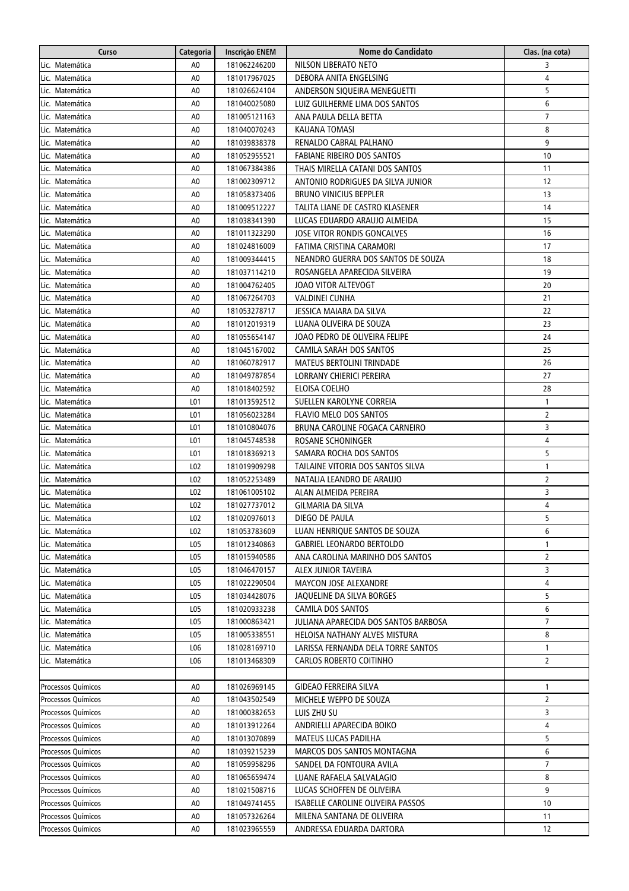| Curso              | Categoria       | Inscrição ENEM | Nome do Candidato                    | Clas. (na cota) |
|--------------------|-----------------|----------------|--------------------------------------|-----------------|
| Lic. Matemática    | A0              | 181062246200   | NILSON LIBERATO NETO                 | 3               |
| Lic. Matemática    | A0              | 181017967025   | DEBORA ANITA ENGELSING               | 4               |
| Lic. Matemática    | A0              | 181026624104   | ANDERSON SIQUEIRA MENEGUETTI         | 5               |
| Lic. Matemática    | A0              | 181040025080   | LUIZ GUILHERME LIMA DOS SANTOS       | 6               |
| Lic. Matemática    | A0              | 181005121163   | ANA PAULA DELLA BETTA                | $\overline{7}$  |
| Lic. Matemática    | A0              | 181040070243   | KAUANA TOMASI                        | 8               |
| Lic. Matemática    | A0              | 181039838378   | RENALDO CABRAL PALHANO               | 9               |
| Lic. Matemática    | A0              | 181052955521   | <b>FABIANE RIBEIRO DOS SANTOS</b>    | 10              |
| Lic. Matemática    | A0              | 181067384386   | THAIS MIRELLA CATANI DOS SANTOS      | 11              |
| Lic. Matemática    | A0              | 181002309712   | ANTONIO RODRIGUES DA SILVA JUNIOR    | 12              |
| Lic. Matemática    | A0              | 181058373406   | <b>BRUNO VINICIUS BEPPLER</b>        | 13              |
| Lic. Matemática    | A0              | 181009512227   | TALITA LIANE DE CASTRO KLASENER      | 14              |
| Lic. Matemática    | A0              | 181038341390   | LUCAS EDUARDO ARAUJO ALMEIDA         | 15              |
| Lic. Matemática    | A0              | 181011323290   | JOSE VITOR RONDIS GONCALVES          | 16              |
| Lic. Matemática    | A0              | 181024816009   | FATIMA CRISTINA CARAMORI             | 17              |
| Lic. Matemática    | A0              | 181009344415   | NEANDRO GUERRA DOS SANTOS DE SOUZA   | 18              |
| Lic. Matemática    | A0              | 181037114210   | ROSANGELA APARECIDA SILVEIRA         | 19              |
| Lic. Matemática    | A0              | 181004762405   | JOAO VITOR ALTEVOGT                  | 20              |
|                    |                 | 181067264703   |                                      |                 |
| Lic. Matemática    | A0              |                | <b>VALDINEI CUNHA</b>                | 21              |
| Lic. Matemática    | A0              | 181053278717   | JESSICA MAIARA DA SILVA              | 22              |
| Lic. Matemática    | A0              | 181012019319   | LUANA OLIVEIRA DE SOUZA              | 23              |
| Lic. Matemática    | A0              | 181055654147   | JOAO PEDRO DE OLIVEIRA FELIPE        | 24              |
| Lic. Matemática    | A0              | 181045167002   | CAMILA SARAH DOS SANTOS              | 25              |
| Lic. Matemática    | A0              | 181060782917   | <b>MATEUS BERTOLINI TRINDADE</b>     | 26              |
| Lic. Matemática    | A0              | 181049787854   | LORRANY CHIERICI PEREIRA             | 27              |
| Lic. Matemática    | A0              | 181018402592   | ELOISA COELHO                        | 28              |
| Lic. Matemática    | L01             | 181013592512   | SUELLEN KAROLYNE CORREIA             | 1               |
| Lic. Matemática    | L01             | 181056023284   | <b>FLAVIO MELO DOS SANTOS</b>        | $\overline{2}$  |
| Lic. Matemática    | LO1             | 181010804076   | BRUNA CAROLINE FOGACA CARNEIRO       | 3               |
| Lic. Matemática    | LO1             | 181045748538   | ROSANE SCHONINGER                    | 4               |
| Lic. Matemática    | L01             | 181018369213   | SAMARA ROCHA DOS SANTOS              | 5               |
| Lic. Matemática    | LO <sub>2</sub> | 181019909298   | TAILAINE VITORIA DOS SANTOS SILVA    | 1               |
| Lic. Matemática    | LO <sub>2</sub> | 181052253489   | NATALIA LEANDRO DE ARAUJO            | $\overline{2}$  |
| Lic. Matemática    | LO <sub>2</sub> | 181061005102   | ALAN ALMEIDA PEREIRA                 | 3               |
| Lic. Matemática    | LO <sub>2</sub> | 181027737012   | GILMARIA DA SILVA                    | 4               |
| Lic. Matemática    | L <sub>02</sub> | 181020976013   | DIEGO DE PAULA                       | 5               |
| Lic. Matemática    | LO <sub>2</sub> | 181053783609   | LUAN HENRIQUE SANTOS DE SOUZA        | 6               |
| Lic. Matemática    | LO5             | 181012340863   | <b>GABRIEL LEONARDO BERTOLDO</b>     | 1               |
| Lic. Matemática    | LO5             | 181015940586   | ANA CAROLINA MARINHO DOS SANTOS      | $\overline{2}$  |
| Lic. Matemática    | LO5             | 181046470157   | ALEX JUNIOR TAVEIRA                  | 3               |
| Lic. Matemática    | LO5             | 181022290504   | <b>MAYCON JOSE ALEXANDRE</b>         | 4               |
| Lic. Matemática    | LO5             | 181034428076   | JAQUELINE DA SILVA BORGES            | 5               |
| Lic. Matemática    | LO5             | 181020933238   | CAMILA DOS SANTOS                    | 6               |
| Lic. Matemática    | LO5             | 181000863421   | JULIANA APARECIDA DOS SANTOS BARBOSA | 7               |
| Lic. Matemática    | LO5             | 181005338551   | HELOISA NATHANY ALVES MISTURA        | 8               |
| Lic. Matemática    | LO6             | 181028169710   | LARISSA FERNANDA DELA TORRE SANTOS   | 1               |
| Lic. Matemática    | LO6             | 181013468309   | CARLOS ROBERTO COITINHO              | $\overline{2}$  |
|                    |                 |                |                                      |                 |
| Processos Químicos | A0              | 181026969145   | GIDEAO FERREIRA SILVA                | 1               |
| Processos Químicos | A0              | 181043502549   | MICHELE WEPPO DE SOUZA               | $\overline{2}$  |
| Processos Químicos | A0              | 181000382653   | LUIS ZHU SU                          | 3               |
|                    |                 |                | ANDRIELLI APARECIDA BOIKO            |                 |
| Processos Químicos | A0              | 181013912264   |                                      | 4               |
| Processos Químicos | A0              | 181013070899   | <b>MATEUS LUCAS PADILHA</b>          | 5               |
| Processos Químicos | A0              | 181039215239   | MARCOS DOS SANTOS MONTAGNA           | 6               |
| Processos Químicos | A0              | 181059958296   | SANDEL DA FONTOURA AVILA             | $\overline{7}$  |
| Processos Químicos | A0              | 181065659474   | LUANE RAFAELA SALVALAGIO             | 8               |
| Processos Químicos | A0              | 181021508716   | LUCAS SCHOFFEN DE OLIVEIRA           | 9               |
| Processos Químicos | A0              | 181049741455   | ISABELLE CAROLINE OLIVEIRA PASSOS    | 10              |
| Processos Químicos | A0              | 181057326264   | MILENA SANTANA DE OLIVEIRA           | 11              |
| Processos Químicos | A0              | 181023965559   | ANDRESSA EDUARDA DARTORA             | 12              |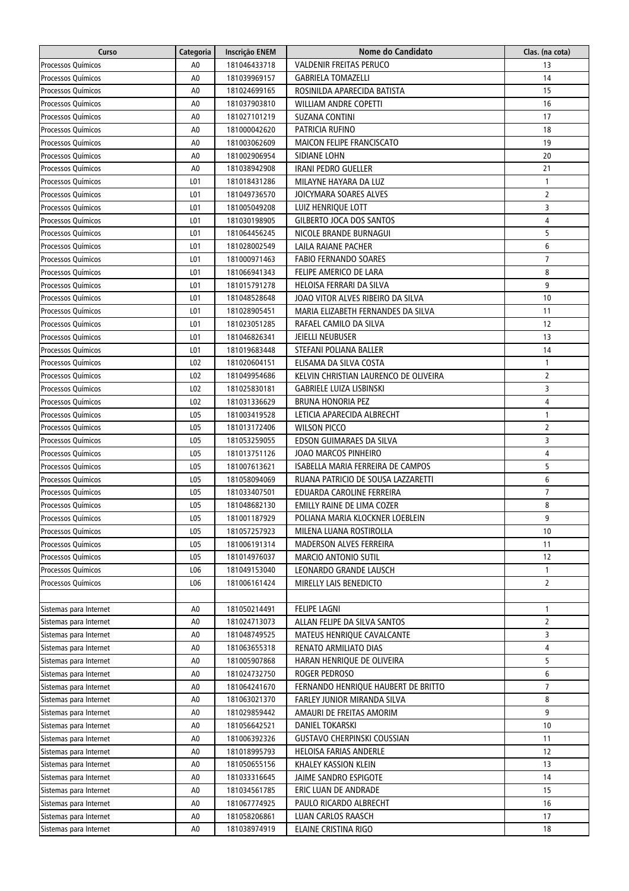| Curso                  | Categoria       | Inscrição ENEM | Nome do Candidato                     | Clas. (na cota)     |
|------------------------|-----------------|----------------|---------------------------------------|---------------------|
| Processos Químicos     | A0              | 181046433718   | <b>VALDENIR FREITAS PERUCO</b>        | 13                  |
| Processos Químicos     | A0              | 181039969157   | <b>GABRIELA TOMAZELLI</b>             | 14                  |
| Processos Químicos     | A0              | 181024699165   | ROSINILDA APARECIDA BATISTA           | 15                  |
| Processos Químicos     | A0              | 181037903810   | WILLIAM ANDRE COPETTI                 | 16                  |
| Processos Químicos     | A0              | 181027101219   | SUZANA CONTINI                        | 17                  |
| Processos Químicos     | A0              | 181000042620   | PATRICIA RUFINO                       | 18                  |
| Processos Químicos     | A0              | 181003062609   | MAICON FELIPE FRANCISCATO             | 19                  |
| Processos Químicos     | A0              | 181002906954   | SIDIANE LOHN                          | 20                  |
| Processos Químicos     | A0              | 181038942908   | IRANI PEDRO GUELLER                   | 21                  |
| Processos Químicos     | L01             | 181018431286   | MILAYNE HAYARA DA LUZ                 | 1                   |
| Processos Químicos     | LO1             | 181049736570   | JOICYMARA SOARES ALVES                | $\overline{2}$      |
| Processos Químicos     | L01             | 181005049208   | LUIZ HENRIQUE LOTT                    | 3                   |
| Processos Químicos     | L01             | 181030198905   | GILBERTO JOCA DOS SANTOS              | 4                   |
| Processos Químicos     | L01             | 181064456245   | NICOLE BRANDE BURNAGUI                | 5                   |
| Processos Químicos     | L01             | 181028002549   | LAILA RAIANE PACHER                   | 6                   |
| Processos Químicos     | LO1             | 181000971463   | <b>FABIO FERNANDO SOARES</b>          | 7                   |
| Processos Químicos     | LO1             | 181066941343   | FELIPE AMERICO DE LARA                | 8                   |
| Processos Químicos     | LO1             | 181015791278   | HELOISA FERRARI DA SILVA              | 9                   |
| Processos Químicos     | LO1             | 181048528648   | JOAO VITOR ALVES RIBEIRO DA SILVA     | 10                  |
| Processos Químicos     | L01             | 181028905451   | MARIA ELIZABETH FERNANDES DA SILVA    | 11                  |
| Processos Químicos     | L01             | 181023051285   | RAFAEL CAMILO DA SILVA                | 12                  |
|                        | L01             | 181046826341   | JEIELLI NEUBUSER                      | 13                  |
| Processos Químicos     |                 |                | STEFANI POLIANA BALLER                | 14                  |
| Processos Químicos     | L01             | 181019683448   |                                       |                     |
| Processos Químicos     | L <sub>02</sub> | 181020604151   | ELISAMA DA SILVA COSTA                | 1                   |
| Processos Químicos     | L <sub>02</sub> | 181049954686   | KELVIN CHRISTIAN LAURENCO DE OLIVEIRA | $\overline{2}$<br>3 |
| Processos Químicos     | LO <sub>2</sub> | 181025830181   | <b>GABRIELE LUIZA LISBINSKI</b>       |                     |
| Processos Químicos     | LO <sub>2</sub> | 181031336629   | <b>BRUNA HONORIA PEZ</b>              | 4                   |
| Processos Químicos     | LO5             | 181003419528   | LETICIA APARECIDA ALBRECHT            | 1                   |
| Processos Químicos     | L05             | 181013172406   | <b>WILSON PICCO</b>                   | $\overline{2}$      |
| Processos Químicos     | LO5             | 181053259055   | EDSON GUIMARAES DA SILVA              | 3                   |
| Processos Químicos     | LO5             | 181013751126   | <b>JOAO MARCOS PINHEIRO</b>           | 4                   |
| Processos Químicos     | LO5             | 181007613621   | ISABELLA MARIA FERREIRA DE CAMPOS     | 5                   |
| Processos Químicos     | L05             | 181058094069   | RUANA PATRICIO DE SOUSA LAZZARETTI    | 6                   |
| Processos Químicos     | L05             | 181033407501   | EDUARDA CAROLINE FERREIRA             | 7                   |
| Processos Químicos     | L05             | 181048682130   | EMILLY RAINE DE LIMA COZER            | 8                   |
| Processos Químicos     | L05             | 181001187929   | POLIANA MARIA KLOCKNER LOEBLEIN       | 9                   |
| Processos Químicos     | L05             | 181057257923   | MILENA LUANA ROSTIROLLA               | 10                  |
| Processos Químicos     | LO5             | 181006191314   | <b>MADERSON ALVES FERREIRA</b>        | 11                  |
| Processos Químicos     | LO5             | 181014976037   | MARCIO ANTONIO SUTIL                  | 12                  |
| Processos Químicos     | LO6             | 181049153040   | LEONARDO GRANDE LAUSCH                | $\mathbf{1}$        |
| Processos Químicos     | LO6             | 181006161424   | MIRELLY LAIS BENEDICTO                | $\overline{2}$      |
|                        |                 |                |                                       |                     |
| Sistemas para Internet | A0              | 181050214491   | <b>FELIPE LAGNI</b>                   | 1                   |
| Sistemas para Internet | A0              | 181024713073   | ALLAN FELIPE DA SILVA SANTOS          | $\overline{2}$      |
| Sistemas para Internet | A0              | 181048749525   | MATEUS HENRIQUE CAVALCANTE            | 3                   |
| Sistemas para Internet | A0              | 181063655318   | RENATO ARMILIATO DIAS                 | 4                   |
| Sistemas para Internet | A0              | 181005907868   | HARAN HENRIQUE DE OLIVEIRA            | 5                   |
| Sistemas para Internet | A0              | 181024732750   | ROGER PEDROSO                         | 6                   |
| Sistemas para Internet | A0              | 181064241670   | FERNANDO HENRIQUE HAUBERT DE BRITTO   | 7                   |
| Sistemas para Internet | A0              | 181063021370   | FARLEY JUNIOR MIRANDA SILVA           | 8                   |
| Sistemas para Internet | A0              | 181029859442   | AMAURI DE FREITAS AMORIM              | 9                   |
| Sistemas para Internet | A0              | 181056642521   | DANIEL TOKARSKI                       | 10                  |
| Sistemas para Internet | A0              | 181006392326   | <b>GUSTAVO CHERPINSKI COUSSIAN</b>    | 11                  |
| Sistemas para Internet | A0              | 181018995793   | HELOISA FARIAS ANDERLE                | 12                  |
| Sistemas para Internet | A0              | 181050655156   | KHALEY KASSION KLEIN                  | 13                  |
| Sistemas para Internet | A0              | 181033316645   | JAIME SANDRO ESPIGOTE                 | 14                  |
| Sistemas para Internet | A0              | 181034561785   | ERIC LUAN DE ANDRADE                  | 15                  |
| Sistemas para Internet | A0              | 181067774925   | PAULO RICARDO ALBRECHT                | 16                  |
| Sistemas para Internet | A0              | 181058206861   | LUAN CARLOS RAASCH                    | 17                  |
| Sistemas para Internet | A0              | 181038974919   | ELAINE CRISTINA RIGO                  | 18                  |